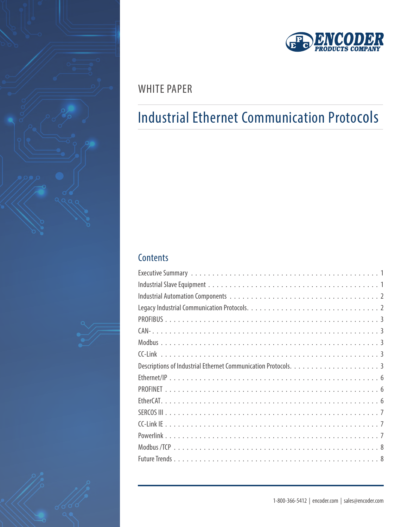







## WHITE PAPER

# Industrial Ethernet Communication Protocols

## **Contents**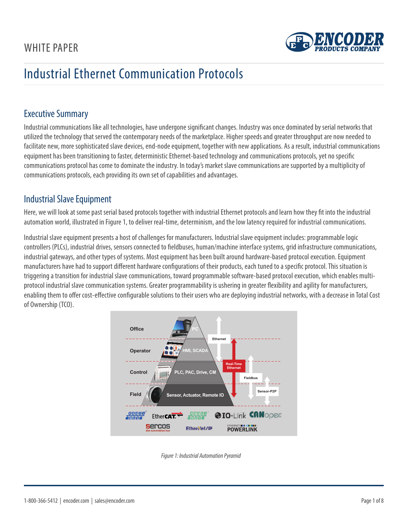

### <span id="page-1-0"></span>Executive Summary

Industrial communications like all technologies, have undergone significant changes. Industry was once dominated by serial networks that utilized the technology that served the contemporary needs of the marketplace. Higher speeds and greater throughput are now needed to facilitate new, more sophisticated slave devices, end-node equipment, together with new applications. As a result, industrial communications equipment has been transitioning to faster, deterministic Ethernet-based technology and communications protocols, yet no specific communications protocol has come to dominate the industry. In today's market slave communications are supported by a multiplicity of communications protocols, each providing its own set of capabilities and advantages.

### Industrial Slave Equipment

Here, we will look at some past serial based protocols together with industrial Ethernet protocols and learn how they fit into the industrial automation world, illustrated in Figure 1, to deliver real-time, determinism, and the low latency required for industrial communications.

Industrial slave equipment presents a host of challenges for manufacturers. Industrial slave equipment includes: programmable logic controllers (PLCs), industrial drives, sensors connected to fieldbuses, human/machine interface systems, grid infrastructure communications, industrial gateways, and other types of systems. Most equipment has been built around hardware-based protocol execution. Equipment manufacturers have had to support different hardware configurations of their products, each tuned to a specific protocol. This situation is triggering a transition for industrial slave communications, toward programmable software-based protocol execution, which enables multiprotocol industrial slave communication systems. Greater programmability is ushering in greater flexibility and agility for manufacturers, enabling them to offer cost-effective configurable solutions to their users who are deploying industrial networks, with a decrease in Total Cost of Ownership (TCO).



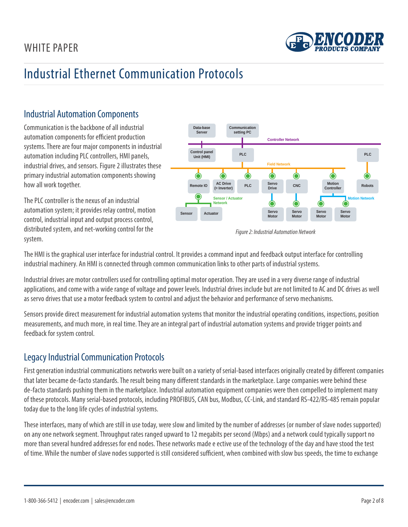

### <span id="page-2-0"></span>Industrial Automation Components

Communication is the backbone of all industrial automation components for efficient production systems. There are four major components in industrial automation including PLC controllers, HMI panels, industrial drives, and sensors. Figure 2 illustrates these primary industrial automation components showing how all work together.

The PLC controller is the nexus of an industrial automation system; it provides relay control, motion control, industrial input and output process control, distributed system, and net-working control for the system.



*Figure 2: Industrial Automation Network*

The HMI is the graphical user interface for industrial control. It provides a command input and feedback output interface for controlling industrial machinery. An HMI is connected through common communication links to other parts of industrial systems.

Industrial drives are motor controllers used for controlling optimal motor operation. They are used in a very diverse range of industrial applications, and come with a wide range of voltage and power levels. Industrial drives include but are not limited to AC and DC drives as well as servo drives that use a motor feedback system to control and adjust the behavior and performance of servo mechanisms.

Sensors provide direct measurement for industrial automation systems that monitor the industrial operating conditions, inspections, position measurements, and much more, in real time. They are an integral part of industrial automation systems and provide trigger points and feedback for system control.

### Legacy Industrial Communication Protocols

First generation industrial communications networks were built on a variety of serial-based interfaces originally created by different companies that later became de-facto standards. The result being many different standards in the marketplace. Large companies were behind these de-facto standards pushing them in the marketplace. Industrial automation equipment companies were then compelled to implement many of these protocols. Many serial-based protocols, including PROFIBUS, CAN bus, Modbus, CC-Link, and standard RS-422/RS-485 remain popular today due to the long life cycles of industrial systems.

These interfaces, many of which are still in use today, were slow and limited by the number of addresses (or number of slave nodes supported) on any one network segment. Throughput rates ranged upward to 12 megabits per second (Mbps) and a network could typically support no more than several hundred addresses for end nodes. These networks made e ective use of the technology of the day and have stood the test of time. While the number of slave nodes supported is still considered sufficient, when combined with slow bus speeds, the time to exchange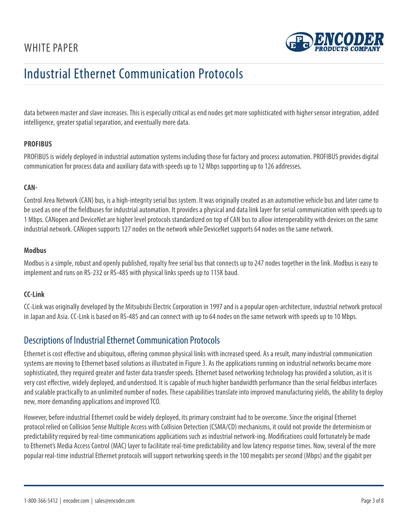

<span id="page-3-0"></span>data between master and slave increases. This is especially critical as end nodes get more sophisticated with higher sensor integration, added intelligence, greater spatial separation, and eventually more data.

### **PROFIBUS**

PROFIBUS is widely deployed in industrial automation systems including those for factory and process automation. PROFIBUS provides digital communication for process data and auxiliary data with speeds up to 12 Mbps supporting up to 126 addresses.

### **CAN-**

Control Area Network (CAN) bus, is a high-integrity serial bus system. It was originally created as an automotive vehicle bus and later came to be used as one of the fieldbuses for industrial automation. It provides a physical and data link layer for serial communication with speeds up to 1 Mbps. CANopen and DeviceNet are higher level protocols standardized on top of CAN bus to allow interoperability with devices on the same industrial network. CANopen supports 127 nodes on the network while DeviceNet supports 64 nodes on the same network.

#### **Modbus**

Modbus is a simple, robust and openly published, royalty free serial bus that connects up to 247 nodes together in the link. Modbus is easy to implement and runs on RS-232 or RS-485 with physical links speeds up to 115K baud.

#### **CC-Link**

CC-Link was originally developed by the Mitsubishi Electric Corporation in 1997 and is a popular open-architecture, industrial network protocol in Japan and Asia. CC-Link is based on RS-485 and can connect with up to 64 nodes on the same network with speeds up to 10 Mbps.

### Descriptions of Industrial Ethernet Communication Protocols

Ethernet is cost effective and ubiquitous, offering common physical links with increased speed. As a result, many industrial communication systems are moving to Ethernet based solutions as illustrated in Figure 3. As the applications running on industrial networks became more sophisticated, they required greater and faster data transfer speeds. Ethernet based networking technology has provided a solution, as it is very cost effective, widely deployed, and understood. It is capable of much higher bandwidth performance than the serial fieldbus interfaces and scalable practically to an unlimited number of nodes. These capabilities translate into improved manufacturing yields, the ability to deploy new, more demanding applications and improved TCO.

However, before industrial Ethernet could be widely deployed, its primary constraint had to be overcome. Since the original Ethernet protocol relied on Collision Sense Multiple Access with Collision Detection (CSMA/CD) mechanisms, it could not provide the determinism or predictability required by real-time communications applications such as industrial network-ing. Modifications could fortunately be made to Ethernet's Media Access Control (MAC) layer to facilitate real-time predictability and low latency response times. Now, several of the more popular real-time industrial Ethernet protocols will support networking speeds in the 100 megabits per second (Mbps) and the gigabit per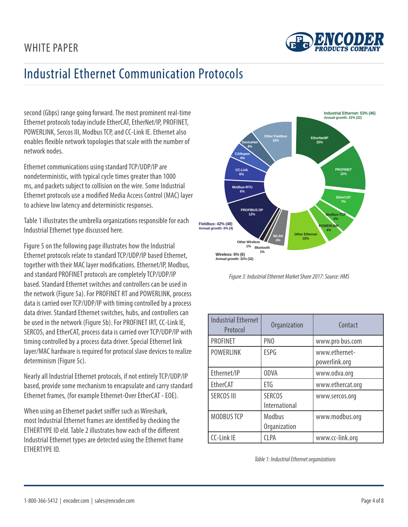

second (Gbps) range going forward. The most prominent real-time Ethernet protocols today include EtherCAT, EtherNet/IP, PROFINET, POWERLINK, Sercos III, Modbus TCP, and CC-Link IE. Ethernet also enables flexible network topologies that scale with the number of network nodes.

Ethernet communications using standard TCP/UDP/IP are nondeterministic, with typical cycle times greater than 1000 ms, and packets subject to collision on the wire. Some Industrial Ethernet protocols use a modified Media Access Control (MAC) layer to achieve low latency and deterministic responses.

Table 1 illustrates the umbrella organizations responsible for each Industrial Ethernet type discussed here.

Figure 5 on the following page illustrates how the Industrial Ethernet protocols relate to standard TCP/UDP/IP based Ethernet, together with their MAC layer modifications. Ethernet/IP, Modbus, and standard PROFINET protocols are completely TCP/UDP/IP based. Standard Ethernet switches and controllers can be used in the network (Figure 5a). For PROFINET RT and POWERLINK, process data is carried over TCP/UDP/IP with timing controlled by a process data driver. Standard Ethernet switches, hubs, and controllers can be used in the network (Figure 5b). For PROFINET IRT, CC-Link IE, SERCOS, and EtherCAT, process data is carried over TCP/UDP/IP with timing controlled by a process data driver. Special Ethernet link layer/MAC hardware is required for protocol slave devices to realize determinism (Figure 5c).

Nearly all Industrial Ethernet protocols, if not entirely TCP/UDP/IP based, provide some mechanism to encapsulate and carry standard Ethernet frames, (for example Ethernet-Over EtherCAT - EOE).

When using an Ethernet packet sniffer such as Wireshark, most Industrial Ethernet frames are identified by checking the ETHERTYPE ID eld. Table 2 illustrates how each of the different Industrial Ethernet types are detected using the Ethernet frame ETHERTYPE ID.



*Figure 3: Industrial Ethernet Market Share 2017: Source: HMS*

| <b>Industrial Ethernet</b><br>Protocol | Organization                   | Contact                        |
|----------------------------------------|--------------------------------|--------------------------------|
| <b>PROFINET</b>                        | PN <sub>0</sub>                | www.pro bus.com                |
| <b>POWERLINK</b>                       | <b>ESPG</b>                    | www.ethernet-<br>powerlink.org |
| Ethernet/IP                            | <b>ODVA</b>                    | www.odva.org                   |
| <b>EtherCAT</b>                        | ETG                            | www.ethercat.org               |
| <b>SERCOS III</b>                      | <b>SERCOS</b><br>International | www.sercos.org                 |
| <b>MODBUS TCP</b>                      | Modbus<br>Organization         | www.modbus.org                 |
| <b>CC-Link IE</b>                      | <b>CLPA</b>                    | www.cc-link.org                |

*Table 1: Industrial Ethernet organizations*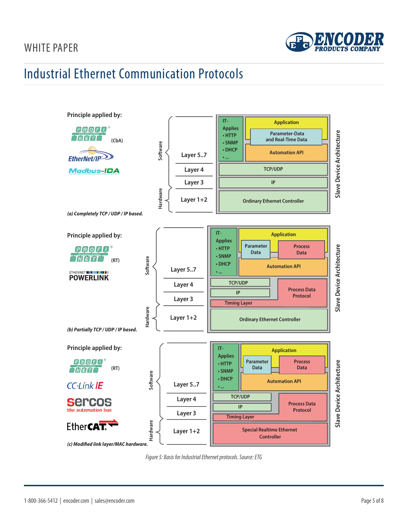## WHITE PAPER



## Industrial Ethernet Communication Protocols



*Figure 5: Basis for Industrial Ethernet protocols. Source: ETG*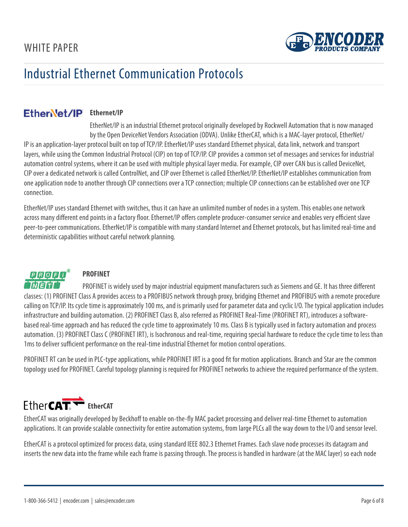

### <span id="page-6-0"></span>Ether**Net/IP** Ethernet/IP

EtherNet/IP is an industrial Ethernet protocol originally developed by Rockwell Automation that is now managed by the Open DeviceNet Vendors Association (ODVA). Unlike EtherCAT, which is a MAC-layer protocol, EtherNet/ IP is an application-layer protocol built on top of TCP/IP. EtherNet/IP uses standard Ethernet physical, data link, network and transport layers, while using the Common Industrial Protocol (CIP) on top of TCP/IP. CIP provides a common set of messages and services for industrial automation control systems, where it can be used with multiple physical layer media. For example, CIP over CAN bus is called DeviceNet, CIP over a dedicated network is called ControlNet, and CIP over Ethernet is called EtherNet/IP. EtherNet/IP establishes communication from one application node to another through CIP connections over a TCP connection; multiple CIP connections can be established over one TCP connection.

EtherNet/IP uses standard Ethernet with switches, thus it can have an unlimited number of nodes in a system. This enables one network across many different end points in a factory floor. Ethernet/IP offers complete producer-consumer service and enables very efficient slave peer-to-peer communications. EtherNet/IP is compatible with many standard Internet and Ethernet protocols, but has limited real-time and deterministic capabilities without careful network planning.



### **PROFINET**

PROFINET is widely used by major industrial equipment manufacturers such as Siemens and GE. It has three different classes: (1) PROFINET Class A provides access to a PROFIBUS network through proxy, bridging Ethernet and PROFIBUS with a remote procedure calling on TCP/IP. Its cycle time is approximately 100 ms, and is primarily used for parameter data and cyclic I/O. The typical application includes infrastructure and building automation. (2) PROFINET Class B, also referred as PROFINET Real-Time (PROFINET RT), introduces a softwarebased real-time approach and has reduced the cycle time to approximately 10 ms. Class B is typically used in factory automation and process automation. (3) PROFINET Class C (PROFINET IRT), is Isochronous and real-time, requiring special hardware to reduce the cycle time to less than 1ms to deliver sufficient performance on the real-time industrial Ethernet for motion control operations.

PROFINET RT can be used in PLC-type applications, while PROFINET IRT is a good fit for motion applications. Branch and Star are the common topology used for PROFINET. Careful topology planning is required for PROFINET networks to achieve the required performance of the system.

# Ether**CAT**<sup>+</sup> EtherCAT

EtherCAT was originally developed by Beckhoff to enable on-the-fly MAC packet processing and deliver real-time Ethernet to automation applications. It can provide scalable connectivity for entire automation systems, from large PLCs all the way down to the I/O and sensor level.

EtherCAT is a protocol optimized for process data, using standard IEEE 802.3 Ethernet Frames. Each slave node processes its datagram and inserts the new data into the frame while each frame is passing through. The process is handled in hardware (at the MAC layer) so each node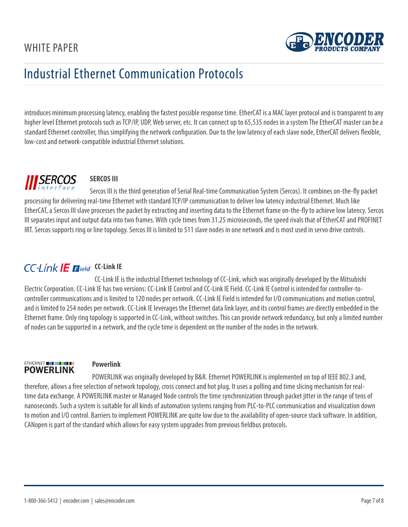

<span id="page-7-0"></span>introduces minimum processing latency, enabling the fastest possible response time. EtherCAT is a MAC layer protocol and is transparent to any higher level Ethernet protocols such as TCP/IP, UDP, Web server, etc. It can connect up to 65,535 nodes in a system The EtherCAT master can be a standard Ethernet controller, thus simplifying the network configuration. Due to the low latency of each slave node, EtherCAT delivers flexible, low-cost and network-compatible industrial Ethernet solutions.

# **SERCOS**

## **SERCOS III**

Sercos III is the third generation of Serial Real-time Communication System (Sercos). It combines on-the-fly packet processing for delivering real-time Ethernet with standard TCP/IP communication to deliver low latency industrial Ethernet. Much like EtherCAT, a Sercos III slave processes the packet by extracting and inserting data to the Ethernet frame on-the-fly to achieve low latency. Sercos III separates input and output data into two frames. With cycle times from 31.25 microseconds, the speed rivals that of EtherCAT and PROFINET IRT. Sercos supports ring or line topology. Sercos III is limited to 511 slave nodes in one network and is most used in servo drive controls.

## **CC-Link IE Elield** CC-Link IE

CC-Link IE is the industrial Ethernet technology of CC-Link, which was originally developed by the Mitsubishi Electric Corporation. CC-Link IE has two versions: CC-Link IE Control and CC-Link IE Field. CC-Link IE Control is intended for controller-tocontroller communications and is limited to 120 nodes per network. CC-Link IE Field is intended for I/O communications and motion control, and is limited to 254 nodes per network. CC-Link IE leverages the Ethernet data link layer, and its control frames are directly embedded in the Ethernet frame. Only ring topology is supported in CC-Link, without switches. This can provide network redundancy, but only a limited number of nodes can be supported in a network, and the cycle time is dependent on the number of the nodes in the network.



### **Powerlink**

POWERLINK was originally developed by B&R. Ethernet POWERLINK is implemented on top of IEEE 802.3 and, therefore, allows a free selection of network topology, cross connect and hot plug. It uses a polling and time slicing mechanism for realtime data exchange. A POWERLINK master or Managed Node controls the time synchronization through packet jitter in the range of tens of nanoseconds. Such a system is suitable for all kinds of automation systems ranging from PLC-to-PLC communication and visualization down to motion and I/O control. Barriers to implement POWERLINK are quite low due to the availability of open-source stack software. In addition, CANopen is part of the standard which allows for easy system upgrades from previous fieldbus protocols.